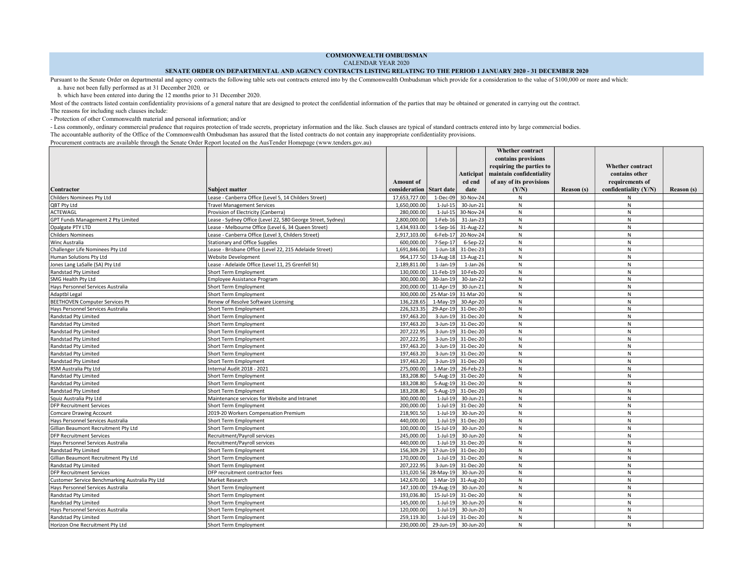COMMONWEALTH OMBUDSMAN

CALENDAR YEAR 2020

## SENATE ORDER ON DEPARTMENTAL AND AGENCY CONTRACTS LISTING RELATING TO THE PERIOD 1 JANUARY 2020 - 31 DECEMBER 2020

Pursuant to the Senate Order on departmental and agency contracts the following table sets out contracts entered into by the Commonwealth Ombudsman which provide for a consideration to the value of \$100,000 or more and whi

a. have not been fully performed as at 31 December 2020, or

b. which have been entered into during the 12 months prior to 31 December 2020.

Most of the contracts listed contain confidentiality provisions of a general nature that are designed to protect the confidential information of the parties that may be obtained or generated in carrying out the contract.

The reasons for including such clauses include:

- Protection of other Commonwealth material and personal information; and/or

- Less commonly, ordinary commercial prudence that requires protection of trade secrets, proprietary information and the like. Such clauses are typical of standard contracts entered into by large commercial bodies. The accountable authority of the Office of the Commonwealth Ombudsman has assured that the listed contracts do not contain any inappropriate confidentiality provisions.

Procurement contracts are available through the Senate Order Report located on the AusTender Homepage (www.tenders.gov.au)

|                                                 |                                                             |                  |                   |                     | <b>Whether contract</b>  |                   |                         |                   |
|-------------------------------------------------|-------------------------------------------------------------|------------------|-------------------|---------------------|--------------------------|-------------------|-------------------------|-------------------|
|                                                 |                                                             |                  |                   |                     | contains provisions      |                   |                         |                   |
|                                                 |                                                             |                  |                   |                     | requiring the parties to |                   | <b>Whether contract</b> |                   |
|                                                 |                                                             |                  |                   | Anticipat           | maintain confidentiality |                   | contains other          |                   |
|                                                 |                                                             | <b>Amount of</b> |                   | ed end              | of any of its provisions |                   | requirements of         |                   |
| Contractor                                      | Subject matter                                              | consideration    | <b>Start date</b> | date                | (Y/N)                    | <b>Reason</b> (s) | confidentiality (Y/N)   | <b>Reason</b> (s) |
| Childers Nominees Pty Ltd                       | Lease - Canberra Office (Level 5, 14 Childers Street)       | 17,653,727.00    | 1-Dec-09          | 30-Nov-24           | N                        |                   | N                       |                   |
| QBT Pty Ltd                                     | <b>Travel Management Services</b>                           | 1,650,000.00     | $1-Jul-15$        | 30-Jun-21           | N                        |                   | N                       |                   |
| ACTEWAGL                                        | Provision of Electricity (Canberra)                         | 280,000.00       | $1$ -Jul- $15$    | 30-Nov-24           | $\mathsf{N}$             |                   | N                       |                   |
| GPT Funds Management 2 Pty Limited              | Lease - Sydney Office (Level 22, 580 George Street, Sydney) | 2,800,000.00     | 1-Feb-16          | 31-Jan-23           | N                        |                   | N                       |                   |
| Opalgate PTY LTD                                | Lease - Melbourne Office (Level 6, 34 Queen Street)         | 1,434,933.00     | $1-Sep-16$        | 31-Aug-22           | $\mathsf{N}$             |                   | $\mathsf{N}$            |                   |
| <b>Childers Nominees</b>                        | Lease - Canberra Office (Level 3, Childers Street)          | 2,917,103.00     | $6$ -Feb-17       | 20-Nov-24           | ${\sf N}$                |                   | N                       |                   |
| Winc Australia                                  | Stationary and Office Supplies                              | 600,000.00       | $7-Sep-17$        | 6-Sep-22            | N                        |                   | N                       |                   |
| Challenger Life Nominees Pty Ltd                | Lease - Brisbane Office (Level 22, 215 Adelaide Street)     | 1,691,846.00     |                   | 1-Jun-18 31-Dec-23  | $\mathsf{N}$             |                   | $\mathsf{N}$            |                   |
| Human Solutions Pty Ltd                         | Website Development                                         | 964,177.50       |                   | 13-Aug-18 13-Aug-21 | ${\sf N}$                |                   | ${\sf N}$               |                   |
| Jones Lang LaSalle (SA) Pty Ltd                 | Lease - Adelaide Office (Level 11, 25 Grenfell St)          | 2,189,811.00     | $1-Jan-19$        | $1$ -Jan-26         | N                        |                   | N                       |                   |
| Randstad Pty Limited                            | Short Term Employment                                       | 130,000.00       | $11$ -Feb-19      | 10-Feb-20           | N                        |                   | N                       |                   |
| SMG Health Pty Ltd                              | Employee Assistance Program                                 | 300,000.00       | 30-Jan-19         | 30-Jan-22           | N                        |                   | N                       |                   |
| Hays Personnel Services Australia               | Short Term Employment                                       | 200,000.00       | $11-Apr-19$       | 30-Jun-21           | N                        |                   | N                       |                   |
| Adaptbl Legal                                   | Short Term Employment                                       | 300,000.00       | 25-Mar-19         | 31-Mar-20           | N                        |                   | N                       |                   |
| <b>BEETHOVEN Computer Services Pt</b>           | Renew of Resolve Software Licensing                         | 136,228.65       | $1-May-19$        | 30-Apr-20           | N                        |                   | N                       |                   |
| Hays Personnel Services Australia               | Short Term Employment                                       | 226,323.35       | 29-Apr-19         | 31-Dec-20           | $\mathsf{N}$             |                   | N                       |                   |
| Randstad Pty Limited                            | Short Term Employment                                       | 197,463.20       | 3-Jun-19          | 31-Dec-20           | ${\sf N}$                |                   | N                       |                   |
| Randstad Pty Limited                            | Short Term Employment                                       | 197,463.20       | 3-Jun-19          | 31-Dec-20           | N                        |                   | N                       |                   |
| Randstad Pty Limited                            | Short Term Employment                                       | 207,222.95       | $3$ -Jun-19       | 31-Dec-20           | N                        |                   | N                       |                   |
| Randstad Pty Limited                            | Short Term Employment                                       | 207,222.95       |                   | 3-Jun-19 31-Dec-20  | $\mathsf{N}$             |                   | $\mathsf{N}$            |                   |
| Randstad Pty Limited                            | Short Term Employment                                       | 197,463.20       |                   | 3-Jun-19 31-Dec-20  | N                        |                   | N                       |                   |
| Randstad Pty Limited                            | Short Term Employment                                       | 197,463.20       |                   | 3-Jun-19 31-Dec-20  | $\mathsf{N}$             |                   | $\mathsf{N}$            |                   |
| Randstad Pty Limited                            | Short Term Employment                                       | 197,463.20       |                   | 3-Jun-19 31-Dec-20  | $\mathsf{N}$             |                   | $\mathsf{N}$            |                   |
| RSM Australia Pty Ltd                           | Internal Audit 2018 - 2021                                  | 275,000.00       |                   | 1-Mar-19 26-Feb-23  | N                        |                   | N                       |                   |
| Randstad Pty Limited                            | Short Term Employment                                       | 183,208.80       |                   | 5-Aug-19 31-Dec-20  | N                        |                   | N                       |                   |
| Randstad Pty Limited                            | Short Term Employment                                       | 183,208.80       |                   | 5-Aug-19 31-Dec-20  | N                        |                   | N                       |                   |
| Randstad Pty Limited                            | Short Term Employment                                       | 183,208.80       |                   | 5-Aug-19 31-Dec-20  | N                        |                   | N                       |                   |
| Squiz Australia Pty Ltd                         | Maintenance services for Website and Intranet               | 300,000.00       | $1$ -Jul-19       | 30-Jun-21           | N                        |                   | N                       |                   |
| <b>DFP Recruitment Services</b>                 | Short Term Employment                                       | 200,000.00       | $1-Jul-19$        | 31-Dec-20           | N                        |                   | N                       |                   |
| <b>Comcare Drawing Account</b>                  | 2019-20 Workers Compensation Premium                        | 218,901.50       | $1-Jul-19$        | 30-Jun-20           | N                        |                   | $\mathsf{N}$            |                   |
| Hays Personnel Services Australia               | Short Term Employment                                       | 440,000.00       | $1$ -Jul-19       | 31-Dec-20           | $\mathsf{N}$             |                   | ${\sf N}$               |                   |
| Gillian Beaumont Recruitment Pty Ltd            | <b>Short Term Employment</b>                                | 100,000.00       | 15-Jul-19         | 30-Jun-20           | N                        |                   | N                       |                   |
| <b>DFP Recruitment Services</b>                 | Recruitment/Payroll services                                | 245.000.00       | $1-Jul-19$        | 30-Jun-20           | N                        |                   | N                       |                   |
| Hays Personnel Services Australia               | Recruitment/Payroll services                                | 440,000.00       | $1$ -Jul-19       | 31-Dec-20           | N                        |                   | N                       |                   |
| Randstad Pty Limited                            | Short Term Employment                                       | 156,309.29       |                   | 17-Jun-19 31-Dec-20 | N                        |                   | N                       |                   |
| Gillian Beaumont Recruitment Pty Ltd            | Short Term Employment                                       | 170,000.00       |                   | 1-Jul-19 31-Dec-20  | ${\sf N}$                |                   | ${\sf N}$               |                   |
| Randstad Pty Limited                            | Short Term Employment                                       | 207,222.95       |                   | 3-Jun-19 31-Dec-20  | N                        |                   | N                       |                   |
| <b>DFP Recruitment Services</b>                 | DFP recruitment contractor fees                             | 131,020.56       | $28-May-19$       | 30-Jun-20           | N                        |                   | N                       |                   |
| Customer Service Benchmarking Australia Pty Ltd | Market Research                                             | 142,670.00       |                   | 1-Mar-19 31-Aug-20  | N                        |                   | N                       |                   |
| Hays Personnel Services Australia               | Short Term Employment                                       | 147,100.00       | 19-Aug-19         | 30-Jun-20           | N                        |                   | N                       |                   |
| Randstad Pty Limited                            | Short Term Employment                                       | 193,036.80       | $15$ -Jul-19      | 31-Dec-20           | N                        |                   | N                       |                   |
| Randstad Pty Limited                            | Short Term Employment                                       | 145,000.00       | $1$ -Jul-19       | 30-Jun-20           | N                        |                   | N                       |                   |
| Hays Personnel Services Australia               | Short Term Employment                                       | 120,000.00       | $1-Jul-19$        | 30-Jun-20           | N                        |                   | N                       |                   |
| Randstad Pty Limited                            | Short Term Employment                                       | 259,119.30       | $1$ -Jul-19       | 31-Dec-20           | ${\sf N}$                |                   | N                       |                   |
| Horizon One Recruitment Pty Ltd                 | Short Term Employment                                       | 230,000.00       | 29-Jun-19         | 30-Jun-20           | N                        |                   | N                       |                   |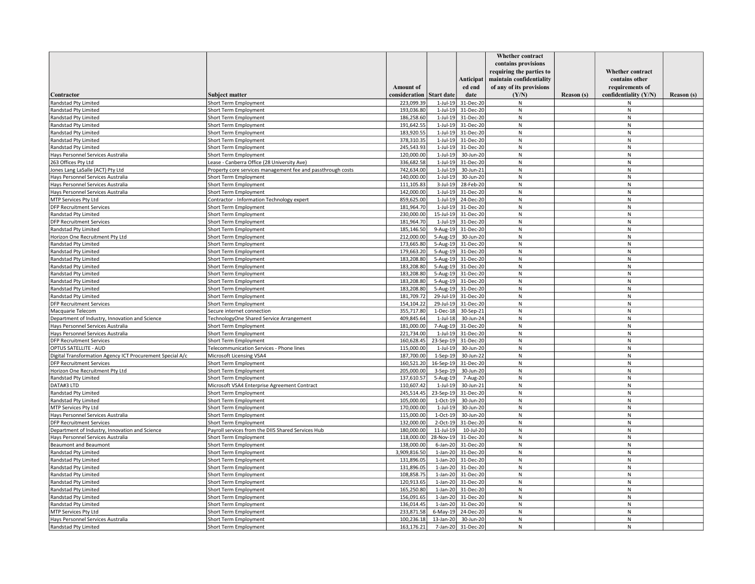|                                                           |                                                             |                  |                   |                     | Whether contract         |            |                         |            |
|-----------------------------------------------------------|-------------------------------------------------------------|------------------|-------------------|---------------------|--------------------------|------------|-------------------------|------------|
|                                                           |                                                             |                  |                   |                     | contains provisions      |            |                         |            |
|                                                           |                                                             |                  |                   |                     | requiring the parties to |            | <b>Whether contract</b> |            |
|                                                           |                                                             |                  |                   | Anticipat           | maintain confidentiality |            | contains other          |            |
|                                                           |                                                             | <b>Amount</b> of |                   | ed end              | of any of its provisions |            | requirements of         |            |
| Contractor                                                | <b>Subject matter</b>                                       | consideration    | <b>Start date</b> | date                | (Y/N)                    | Reason (s) | confidentiality (Y/N)   | Reason (s) |
| Randstad Pty Limited                                      | Short Term Employment                                       | 223,099.39       | $1$ -Jul-19       | 31-Dec-20           | N                        |            | N                       |            |
| Randstad Pty Limited                                      | Short Term Employment                                       | 193,036.80       | $1$ -Jul-19       | 31-Dec-20           | ${\sf N}$                |            | N                       |            |
| Randstad Pty Limited                                      | Short Term Employment                                       | 186,258.60       | $1$ -Jul-19       | 31-Dec-20           | N                        |            | N                       |            |
| Randstad Pty Limited                                      | Short Term Employment                                       | 191,642.55       |                   | 1-Jul-19 31-Dec-20  | N                        |            | N                       |            |
| Randstad Pty Limited                                      | Short Term Employment                                       | 183,920.55       |                   | 1-Jul-19 31-Dec-20  | N                        |            | N                       |            |
| Randstad Pty Limited                                      | Short Term Employment                                       | 378,310.35       | $1$ -Jul-19       | 31-Dec-20           | ${\sf N}$                |            | N                       |            |
| Randstad Pty Limited                                      | Short Term Employment                                       | 245,543.93       |                   | 1-Jul-19 31-Dec-20  | N                        |            | ${\sf N}$               |            |
| Hays Personnel Services Australia                         | Short Term Employment                                       | 120,000.00       | $1$ -Jul-19       | 30-Jun-20           | N                        |            | N                       |            |
| 263 Offices Pty Ltd                                       | Lease - Canberra Office (28 University Ave)                 | 336,682.58       | $1$ -Jul-19       | 31-Dec-20           | N                        |            | N                       |            |
| Jones Lang LaSalle (ACT) Pty Ltd                          | Property core services management fee and passthrough costs | 742,634.00       | $1$ -Jul-19       | 30-Jun-21           | N                        |            | N                       |            |
| Hays Personnel Services Australia                         | Short Term Employment                                       | 140,000.00       | $1$ -Jul-19       | 30-Jun-20           | N                        |            | ${\sf N}$               |            |
| Hays Personnel Services Australia                         | Short Term Employment                                       | 111,105.83       | $3-Jul-19$        | 28-Feb-20           | ${\sf N}$                |            | N                       |            |
| Hays Personnel Services Australia                         | Short Term Employment                                       | 142,000.00       |                   | 1-Jul-19 31-Dec-20  | N                        |            | ${\sf N}$               |            |
| MTP Services Pty Ltd                                      | Contractor - Information Technology expert                  | 859,625.00       |                   | 1-Jul-19 24-Dec-20  | N                        |            | N                       |            |
| <b>DFP Recruitment Services</b>                           | <b>Short Term Employment</b>                                | 181,964.70       | $1$ -Jul-19       | 31-Dec-20           | ${\sf N}$                |            | N                       |            |
|                                                           |                                                             | 230,000.00       |                   | 15-Jul-19 31-Dec-20 | ${\sf N}$                |            | ${\sf N}$               |            |
| Randstad Pty Limited                                      | Short Term Employment                                       |                  |                   |                     |                          |            |                         |            |
| <b>DFP Recruitment Services</b>                           | Short Term Employment                                       | 181,964.70       |                   | 1-Jul-19 31-Dec-20  | N                        |            | ${\sf N}$               |            |
| Randstad Pty Limited                                      | Short Term Employment                                       | 185,146.50       | $9-Aug-19$        | 31-Dec-20           | N                        |            | N                       |            |
| Horizon One Recruitment Pty Ltd                           | Short Term Employment                                       | 212,000.00       |                   | 5-Aug-19 30-Jun-20  | N                        |            | $\mathsf{N}$            |            |
| Randstad Pty Limited                                      | <b>Short Term Employment</b>                                | 173,665.80       |                   | 5-Aug-19 31-Dec-20  | N                        |            | N                       |            |
| Randstad Pty Limited                                      | Short Term Employment                                       | 179,663.20       |                   | 5-Aug-19 31-Dec-20  | ${\sf N}$                |            | N                       |            |
| Randstad Pty Limited                                      | Short Term Employment                                       | 183,208.80       |                   | 5-Aug-19 31-Dec-20  | N                        |            | $\mathsf{N}$            |            |
| Randstad Pty Limited                                      | Short Term Employment                                       | 183,208.80       |                   | 5-Aug-19 31-Dec-20  | N                        |            | N                       |            |
| Randstad Pty Limited                                      | Short Term Employment                                       | 183,208.80       | $5-Aug-19$        | 31-Dec-20           | N                        |            | N                       |            |
| Randstad Pty Limited                                      | Short Term Employment                                       | 183,208.80       |                   | 5-Aug-19 31-Dec-20  | N                        |            | $\mathsf{N}$            |            |
| Randstad Pty Limited                                      | Short Term Employment                                       | 183,208.80       | $5-Aug-19$        | 31-Dec-20           | N                        |            | N                       |            |
| Randstad Pty Limited                                      | Short Term Employment                                       | 181,709.72       | 29-Jul-19         | 31-Dec-20           | ${\sf N}$                |            | N                       |            |
| <b>DFP Recruitment Services</b>                           | Short Term Employment                                       | 154,104.22       |                   | 29-Jul-19 31-Dec-20 | N                        |            | N                       |            |
| Macquarie Telecom                                         | Secure internet connection                                  | 355,717.80       | $1-Dec-18$        | 30-Sep-21           | N                        |            | N                       |            |
| Department of Industry, Innovation and Science            | TechnologyOne Shared Service Arrangement                    | 409,845.64       | $1$ -Jul-18       | 30-Jun-24           | N                        |            | ${\sf N}$               |            |
| Hays Personnel Services Australia                         | Short Term Employment                                       | 181,000.00       | $7 - Aug-19$      | 31-Dec-20           | N                        |            | ${\sf N}$               |            |
| Hays Personnel Services Australia                         | Short Term Employment                                       | 221,734.00       | $1$ -Jul-19       | 31-Dec-20           | N                        |            | N                       |            |
| <b>DFP Recruitment Services</b>                           | Short Term Employment                                       | 160,628.45       | 23-Sep-19         | 31-Dec-20           | ${\sf N}$                |            | ${\sf N}$               |            |
| OPTUS SATELLITE - AUD                                     | Telecommunication Services - Phone lines                    | 115,000.00       | $1$ -Jul-19       | 30-Jun-20           | N                        |            | N                       |            |
| Digital Transformation Agency ICT Procurement Special A/c | Microsoft Licensing VSA4                                    | 187,700.00       | $1-Sep-19$        | 30-Jun-22           | N                        |            | N                       |            |
| <b>DFP Recruitment Services</b>                           | Short Term Employment                                       | 160,521.20       | 16-Sep-19         | 31-Dec-20           | ${\sf N}$                |            | ${\sf N}$               |            |
| Horizon One Recruitment Pty Ltd                           | Short Term Employment                                       | 205,000.00       | $3-$ Sep $-19$    | 30-Jun-20           | ${\sf N}$                |            | ${\sf N}$               |            |
| Randstad Pty Limited                                      | Short Term Employment                                       | 137,610.57       | $5 - Aug-19$      | 7-Aug-20            | N                        |            | N                       |            |
| DATA#3 LTD                                                | Microsoft VSA4 Enterprise Agreement Contract                | 110,607.42       | $1$ -Jul-19       | 30-Jun-21           | ${\sf N}$                |            | $\mathsf{N}$            |            |
| Randstad Pty Limited                                      | Short Term Employment                                       | 245,514.45       | 23-Sep-19         | 31-Dec-20           | N                        |            | N                       |            |
| Randstad Pty Limited                                      | Short Term Employment                                       | 105,000.00       |                   | 1-Oct-19 30-Jun-20  | N                        |            | N                       |            |
| MTP Services Pty Ltd                                      | Short Term Employment                                       | 170,000.00       | $1$ -Jul-19       | 30-Jun-20           | ${\sf N}$                |            | ${\sf N}$               |            |
| Hays Personnel Services Australia                         | Short Term Employment                                       | 115,000.00       | $1-Oct-19$        | 30-Jun-20           | N                        |            | N                       |            |
| <b>DFP Recruitment Services</b>                           | Short Term Employment                                       | 132,000.00       |                   | 2-Oct-19 31-Dec-20  | N                        |            | N                       |            |
| Department of Industry, Innovation and Science            | Payroll services from the DIIS Shared Services Hub          | 180,000.00       | $11$ -Jul-19      | 10-Jul-20           | N                        |            | N                       |            |
| Hays Personnel Services Australia                         | Short Term Employment                                       | 118,000.00       | 28-Nov-19         | 31-Dec-20           | N                        |            | N                       |            |
| <b>Beaumont and Beaumont</b>                              | Short Term Employment                                       | 138,000.00       |                   | 6-Jan-20 31-Dec-20  | N                        |            | N                       |            |
| Randstad Pty Limited                                      | Short Term Employment                                       | 3,909,816.50     |                   | 1-Jan-20 31-Dec-20  | N                        |            | N                       |            |
| Randstad Pty Limited                                      | Short Term Employment                                       | 131,896.05       | $1$ -Jan-20       | 31-Dec-20           | N                        |            | N                       |            |
| Randstad Pty Limited                                      | Short Term Employment                                       | 131,896.05       |                   | 1-Jan-20 31-Dec-20  | ${\sf N}$                |            | $\mathsf{N}$            |            |
| Randstad Pty Limited                                      | Short Term Employment                                       | 108,858.75       | $1-Jan-20$        | 31-Dec-20           | N                        |            | N                       |            |
| Randstad Pty Limited                                      | Short Term Employment                                       | 120,913.65       | $1$ -Jan-20       | 31-Dec-20           | ${\sf N}$                |            | N                       |            |
| Randstad Pty Limited                                      | Short Term Employment                                       | 165,250.80       |                   | 1-Jan-20 31-Dec-20  | N                        |            | N                       |            |
| Randstad Pty Limited                                      | Short Term Employment                                       | 156,091.65       | $1-Jan-20$        | 31-Dec-20           | N                        |            | N                       |            |
| Randstad Pty Limited                                      | Short Term Employment                                       | 136,014.45       | $1$ -Jan-20       | 31-Dec-20           | ${\sf N}$                |            | N                       |            |
| MTP Services Pty Ltd                                      | Short Term Employment                                       | 233,871.58       |                   | 6-May-19 24-Dec-20  | N                        |            | N                       |            |
| Hays Personnel Services Australia                         | Short Term Employment                                       | 100,236.18       |                   | 13-Jan-20 30-Jun-20 | N                        |            | N                       |            |
| Randstad Pty Limited                                      | Short Term Employment                                       | 163,176.21       |                   | 7-Jan-20 31-Dec-20  | N                        |            | N                       |            |